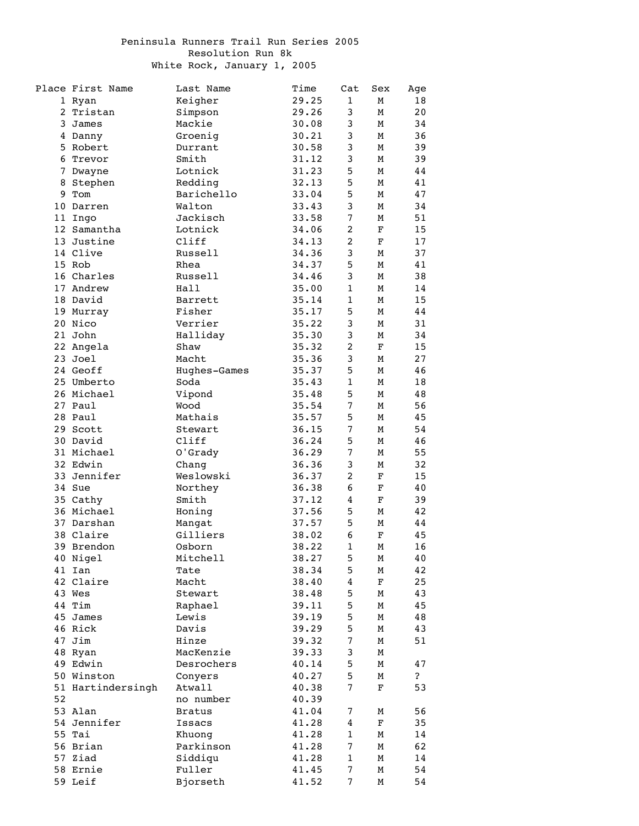## Peninsula Runners Trail Run Series 2005 Resolution Run 8k White Rock, January 1, 2005

|              | Place First Name  | Last Name     | Time  | Cat            | Sex         | Age          |
|--------------|-------------------|---------------|-------|----------------|-------------|--------------|
|              | 1 Ryan            | Keigher       | 29.25 | $\mathbf{1}$   | М           | 18           |
| $\mathbf{2}$ | Tristan           | Simpson       | 29.26 | 3              | М           | 20           |
| 3            | James             | Mackie        | 30.08 | 3              | М           | 34           |
|              | 4 Danny           | Groenig       | 30.21 | 3              | М           | 36           |
|              | 5 Robert          | Durrant       | 30.58 | 3              | М           | 39           |
|              | 6 Trevor          | Smith         | 31.12 | 3              | М           | 39           |
|              | 7 Dwayne          | Lotnick       | 31.23 | 5              | М           | 44           |
|              | 8 Stephen         | Redding       | 32.13 | 5              | М           | 41           |
| 9            | Tom               | Barichello    | 33.04 | 5              | М           | 47           |
|              | 10 Darren         | Walton        | 33.43 | 3              | М           | 34           |
|              | 11 Ingo           | Jackisch      | 33.58 | $\overline{7}$ | М           | 51           |
|              | 12 Samantha       | Lotnick       | 34.06 | $\overline{c}$ | F           | 15           |
|              | 13 Justine        | Cliff         | 34.13 | $\overline{c}$ | F           | 17           |
|              | 14 Clive          | Russell       | 34.36 | 3              | М           | 37           |
|              | 15 Rob            | Rhea          | 34.37 | 5              | М           | 41           |
|              | 16 Charles        | Russell       | 34.46 | 3              | М           | 38           |
|              | 17 Andrew         | Hall          | 35.00 | $\mathbf{1}$   | М           | 14           |
|              | 18 David          | Barrett       | 35.14 | $\mathbf{1}$   | М           | 15           |
|              | 19 Murray         | Fisher        | 35.17 | 5              | М           | 44           |
|              | 20 Nico           | Verrier       | 35.22 | 3              | М           | 31           |
|              | 21 John           | Halliday      | 35.30 | 3              | М           | 34           |
|              | 22 Angela         | Shaw          | 35.32 | $\overline{c}$ | $\mathbf F$ | 15           |
|              | 23 Joel           | Macht         | 35.36 | 3              | М           | 27           |
|              | 24 Geoff          | Hughes-Games  | 35.37 | 5              | М           | 46           |
|              | 25 Umberto        | Soda          | 35.43 | $\mathbf{1}$   | М           | 18           |
|              | 26 Michael        | Vipond        | 35.48 | 5              | М           | 48           |
|              | 27 Paul           | Wood          | 35.54 | $\overline{7}$ | М           | 56           |
|              | 28 Paul           | Mathais       | 35.57 | 5              | М           | 45           |
|              | 29 Scott          | Stewart       | 36.15 | $\overline{7}$ | М           | 54           |
|              | 30 David          | Cliff         | 36.24 | 5              | М           | 46           |
|              | 31 Michael        | O'Grady       | 36.29 | $\overline{7}$ | М           | 55           |
|              | 32 Edwin          | Chang         | 36.36 | 3              | М           | 32           |
|              | 33 Jennifer       | Weslowski     | 36.37 | $\overline{c}$ | F           | 15           |
|              | 34 Sue            | Northey       | 36.38 | 6              | F           | 40           |
|              | 35 Cathy          | Smith         | 37.12 | 4              | F           | 39           |
|              | 36 Michael        | Honing        | 37.56 | 5              | М           | 42           |
|              | 37 Darshan        | Mangat        | 37.57 | 5              | М           | 44           |
|              | 38 Claire         | Gilliers      | 38.02 | 6              | F           | 45           |
|              | 39 Brendon        | Osborn        | 38.22 | $\mathbf{1}$   | М           | 16           |
|              | 40 Nigel          | Mitchell      | 38.27 | 5              | М           | 40           |
|              | 41 Ian            | Tate          | 38.34 | 5              | М           | 42           |
|              | 42 Claire         | Macht         | 38.40 | 4              | F           | 25           |
|              | 43 Wes            | Stewart       | 38.48 | 5              | М           | 43           |
|              | 44 Tim            | Raphael       | 39.11 | 5              | М           | 45           |
|              | 45 James          | Lewis         | 39.19 | 5              | М           | 48           |
|              | 46 Rick           | Davis         | 39.29 | 5              | М           | 43           |
|              | 47 Jim            | Hinze         | 39.32 | $\overline{7}$ | М           | 51           |
|              | 48 Ryan           | MacKenzie     | 39.33 | 3              | М           |              |
|              | 49 Edwin          | Desrochers    | 40.14 | 5              | М           | 47           |
|              | 50 Winston        | Conyers       | 40.27 | 5              | М           | $\mathbf{P}$ |
|              | 51 Hartindersingh | Atwall        | 40.38 | $\overline{7}$ | F           | 53           |
| 52           |                   | no number     | 40.39 |                |             |              |
|              | 53 Alan           | <b>Bratus</b> | 41.04 | 7              | М           | 56           |
|              | 54 Jennifer       | Issacs        | 41.28 | 4              | F           | 35           |
|              | 55 Tai            | Khuong        | 41.28 | $\mathbf{1}$   | М           | 14           |
|              | 56 Brian          | Parkinson     | 41.28 | 7              | М           | 62           |
|              | 57 Ziad           | Siddiqu       | 41.28 | $\mathbf 1$    | М           | 14           |
|              | 58 Ernie          | Fuller        | 41.45 | $\overline{7}$ | М           | 54           |
|              | 59 Leif           | Bjorseth      | 41.52 | 7              | М           | 54           |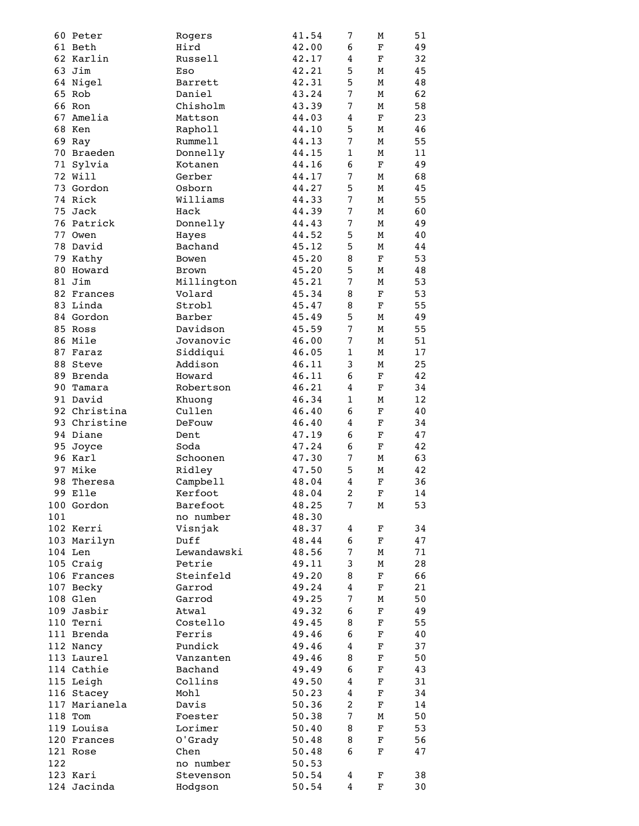|     | 60 Peter      | Rogers      | 41.54 | 7                | М           | 51 |
|-----|---------------|-------------|-------|------------------|-------------|----|
|     | 61 Beth       | Hird        | 42.00 | 6                | F           | 49 |
|     | 62 Karlin     | Russell     | 42.17 | $\overline{4}$   | $\mathbf F$ | 32 |
|     | 63 Jim        | Eso         | 42.21 | 5                | М           | 45 |
|     | 64 Nigel      | Barrett     | 42.31 | 5                | М           | 48 |
|     | 65 Rob        | Daniel      | 43.24 | $\overline{7}$   | М           | 62 |
|     | 66 Ron        | Chisholm    | 43.39 | 7                | М           | 58 |
|     | 67 Amelia     | Mattson     | 44.03 | $\overline{4}$   | $\mathbf F$ | 23 |
|     | 68 Ken        |             |       | 5                |             | 46 |
|     |               | Rapholl     | 44.10 |                  | М           |    |
|     | 69 Ray        | Rummell     | 44.13 | 7                | М           | 55 |
|     | 70 Braeden    | Donnelly    | 44.15 | $\mathbf{1}$     | М           | 11 |
|     | 71 Sylvia     | Kotanen     | 44.16 | 6                | F           | 49 |
|     | 72 Will       | Gerber      | 44.17 | $\overline{7}$   | М           | 68 |
|     | 73 Gordon     | Osborn      | 44.27 | 5                | М           | 45 |
|     | 74 Rick       | Williams    | 44.33 | $\overline{7}$   | М           | 55 |
|     | 75 Jack       | Hack        | 44.39 | $\overline{7}$   | М           | 60 |
|     | 76 Patrick    | Donnelly    | 44.43 | $\overline{7}$   | м           | 49 |
|     | 77 Owen       | Hayes       | 44.52 | 5                | М           | 40 |
|     | 78 David      | Bachand     | 45.12 | 5                | М           | 44 |
|     | 79 Kathy      | Bowen       | 45.20 | 8                | F           | 53 |
|     | 80 Howard     | Brown       | 45.20 | 5                | М           | 48 |
|     |               |             |       | 7                |             |    |
|     | 81 Jim        | Millington  | 45.21 |                  | М           | 53 |
|     | 82 Frances    | Volard      | 45.34 | 8                | F           | 53 |
|     | 83 Linda      | Strobl      | 45.47 | 8                | F           | 55 |
|     | 84 Gordon     | Barber      | 45.49 | 5                | М           | 49 |
|     | 85 Ross       | Davidson    | 45.59 | 7                | М           | 55 |
|     | 86 Mile       | Jovanovic   | 46.00 | $\boldsymbol{7}$ | М           | 51 |
|     | 87 Faraz      | Siddiqui    | 46.05 | $\mathbf{1}$     | М           | 17 |
|     | 88 Steve      | Addison     | 46.11 | 3                | М           | 25 |
|     | 89 Brenda     | Howard      | 46.11 | 6                | F           | 42 |
|     | 90 Tamara     | Robertson   | 46.21 | 4                | F           | 34 |
|     | 91 David      | Khuong      | 46.34 | $\mathbf{1}$     | М           | 12 |
|     | 92 Christina  | Cullen      | 46.40 | 6                | F           | 40 |
|     | 93 Christine  | DeFouw      | 46.40 | $\overline{4}$   | F           | 34 |
|     |               |             |       |                  |             |    |
|     | 94 Diane      | Dent        | 47.19 | 6                | F           | 47 |
|     | 95 Joyce      | Soda        | 47.24 | 6                | F           | 42 |
|     | 96 Karl       | Schoonen    | 47.30 | 7                | М           | 63 |
|     | 97 Mike       | Ridley      | 47.50 | 5                | М           | 42 |
|     | 98 Theresa    | Campbell    | 48.04 | 4                | F           | 36 |
|     | 99 Elle       | Kerfoot     | 48.04 | $\overline{2}$   | F           | 14 |
|     | 100 Gordon    | Barefoot    | 48.25 | 7                | М           | 53 |
| 101 |               | no number   | 48.30 |                  |             |    |
|     | 102 Kerri     | Visnjak     | 48.37 | 4                | F           | 34 |
|     | 103 Marilyn   | Duff        | 48.44 | 6                | F           | 47 |
|     | 104 Len       | Lewandawski | 48.56 | 7                | М           | 71 |
|     | 105 Craig     | Petrie      | 49.11 | 3                | М           | 28 |
|     | 106 Frances   | Steinfeld   | 49.20 | 8                | F           | 66 |
|     |               | Garrod      |       | $\overline{4}$   |             | 21 |
|     | 107 Becky     |             | 49.24 |                  | F           |    |
|     | 108 Glen      | Garrod      | 49.25 | $\overline{7}$   | М           | 50 |
|     | 109 Jasbir    | Atwal       | 49.32 | 6                | F           | 49 |
|     | 110 Terni     | Costello    | 49.45 | 8                | F           | 55 |
|     | 111 Brenda    | Ferris      | 49.46 | 6                | F           | 40 |
|     | 112 Nancy     | Pundick     | 49.46 | 4                | F           | 37 |
|     | 113 Laurel    | Vanzanten   | 49.46 | 8                | F           | 50 |
|     | 114 Cathie    | Bachand     | 49.49 | 6                | F           | 43 |
|     | 115 Leigh     | Collins     | 49.50 | $\overline{4}$   | F           | 31 |
|     | 116 Stacey    | Mohl        | 50.23 | $\overline{4}$   | F           | 34 |
|     | 117 Marianela | Davis       | 50.36 | $\overline{2}$   | F           | 14 |
|     | 118 Tom       | Foester     | 50.38 | $\overline{7}$   | М           | 50 |
|     | 119 Louisa    | Lorimer     | 50.40 | 8                | F           | 53 |
|     | 120 Frances   |             |       | 8                |             | 56 |
|     |               | O'Grady     | 50.48 |                  | F           |    |
|     | 121 Rose      | Chen        | 50.48 | 6                | F           | 47 |
| 122 |               | no number   | 50.53 |                  |             |    |
|     | 123 Kari      | Stevenson   | 50.54 | 4                | F           | 38 |
|     | 124 Jacinda   | Hodgson     | 50.54 | 4                | F           | 30 |